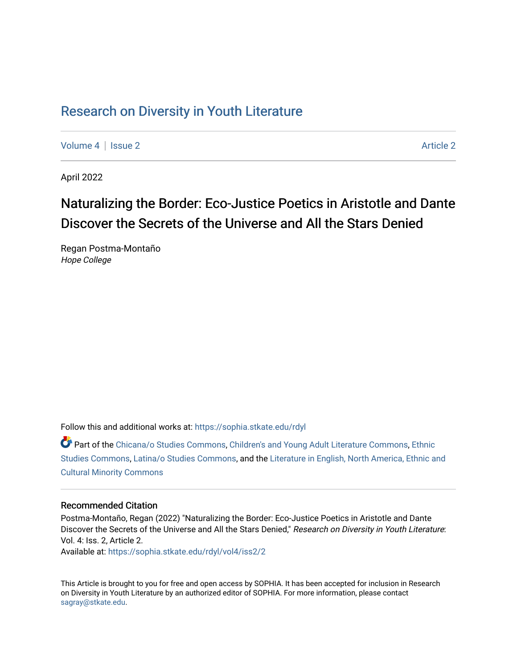## Research on Div[ersity in Youth Liter](https://sophia.stkate.edu/rdyl)ature

[Volume 4](https://sophia.stkate.edu/rdyl/vol4) | [Issue 2](https://sophia.stkate.edu/rdyl/vol4/iss2) Article 2

April 2022

# Naturalizing the Border: Eco-Justice Poetics in Aristotle and Dante Discover the Secrets of the Universe and All the Stars Denied

Regan Postma-Montaño Hope College

Follow this and additional works at: [https://sophia.stkate.edu/rdyl](https://sophia.stkate.edu/rdyl?utm_source=sophia.stkate.edu%2Frdyl%2Fvol4%2Fiss2%2F2&utm_medium=PDF&utm_campaign=PDFCoverPages) 

Part of the [Chicana/o Studies Commons](http://network.bepress.com/hgg/discipline/569?utm_source=sophia.stkate.edu%2Frdyl%2Fvol4%2Fiss2%2F2&utm_medium=PDF&utm_campaign=PDFCoverPages), [Children's and Young Adult Literature Commons](http://network.bepress.com/hgg/discipline/1289?utm_source=sophia.stkate.edu%2Frdyl%2Fvol4%2Fiss2%2F2&utm_medium=PDF&utm_campaign=PDFCoverPages), [Ethnic](http://network.bepress.com/hgg/discipline/570?utm_source=sophia.stkate.edu%2Frdyl%2Fvol4%2Fiss2%2F2&utm_medium=PDF&utm_campaign=PDFCoverPages) [Studies Commons,](http://network.bepress.com/hgg/discipline/570?utm_source=sophia.stkate.edu%2Frdyl%2Fvol4%2Fiss2%2F2&utm_medium=PDF&utm_campaign=PDFCoverPages) [Latina/o Studies Commons,](http://network.bepress.com/hgg/discipline/1315?utm_source=sophia.stkate.edu%2Frdyl%2Fvol4%2Fiss2%2F2&utm_medium=PDF&utm_campaign=PDFCoverPages) and the [Literature in English, North America, Ethnic and](http://network.bepress.com/hgg/discipline/459?utm_source=sophia.stkate.edu%2Frdyl%2Fvol4%2Fiss2%2F2&utm_medium=PDF&utm_campaign=PDFCoverPages)  [Cultural Minority Commons](http://network.bepress.com/hgg/discipline/459?utm_source=sophia.stkate.edu%2Frdyl%2Fvol4%2Fiss2%2F2&utm_medium=PDF&utm_campaign=PDFCoverPages) 

#### Recommended Citation

Postma-Montaño, Regan (2022) "Naturalizing the Border: Eco-Justice Poetics in Aristotle and Dante Discover the Secrets of the Universe and All the Stars Denied," Research on Diversity in Youth Literature: Vol. 4: Iss. 2, Article 2.

Available at: [https://sophia.stkate.edu/rdyl/vol4/iss2/2](https://sophia.stkate.edu/rdyl/vol4/iss2/2?utm_source=sophia.stkate.edu%2Frdyl%2Fvol4%2Fiss2%2F2&utm_medium=PDF&utm_campaign=PDFCoverPages) 

This Article is brought to you for free and open access by SOPHIA. It has been accepted for inclusion in Research on Diversity in Youth Literature by an authorized editor of SOPHIA. For more information, please contact [sagray@stkate.edu.](mailto:sagray@stkate.edu)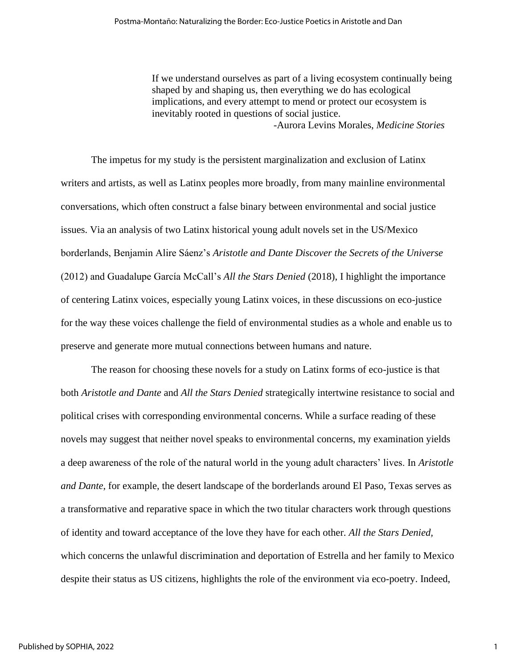If we understand ourselves as part of a living ecosystem continually being shaped by and shaping us, then everything we do has ecological implications, and every attempt to mend or protect our ecosystem is inevitably rooted in questions of social justice. -Aurora Levins Morales, *Medicine Stories*

The impetus for my study is the persistent marginalization and exclusion of Latinx writers and artists, as well as Latinx peoples more broadly, from many mainline environmental conversations, which often construct a false binary between environmental and social justice issues. Via an analysis of two Latinx historical young adult novels set in the US/Mexico borderlands, Benjamin Alire Sáenz's *Aristotle and Dante Discover the Secrets of the Universe*  (2012) and Guadalupe García McCall's *All the Stars Denied* (2018), I highlight the importance of centering Latinx voices, especially young Latinx voices, in these discussions on eco-justice for the way these voices challenge the field of environmental studies as a whole and enable us to preserve and generate more mutual connections between humans and nature.

The reason for choosing these novels for a study on Latinx forms of eco-justice is that both *Aristotle and Dante* and *All the Stars Denied* strategically intertwine resistance to social and political crises with corresponding environmental concerns. While a surface reading of these novels may suggest that neither novel speaks to environmental concerns, my examination yields a deep awareness of the role of the natural world in the young adult characters' lives. In *Aristotle and Dante*, for example, the desert landscape of the borderlands around El Paso, Texas serves as a transformative and reparative space in which the two titular characters work through questions of identity and toward acceptance of the love they have for each other. *All the Stars Denied,*  which concerns the unlawful discrimination and deportation of Estrella and her family to Mexico despite their status as US citizens, highlights the role of the environment via eco-poetry. Indeed,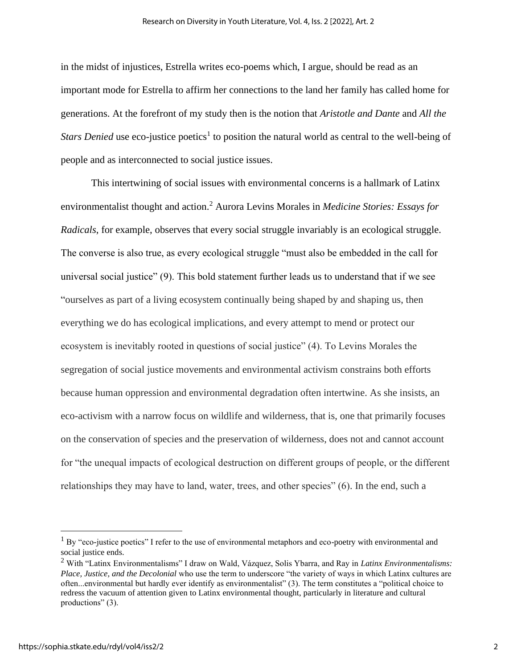in the midst of injustices, Estrella writes eco-poems which, I argue, should be read as an important mode for Estrella to affirm her connections to the land her family has called home for generations. At the forefront of my study then is the notion that *Aristotle and Dante* and *All the Stars Denied* use eco-justice poetics<sup>1</sup> to position the natural world as central to the well-being of people and as interconnected to social justice issues.

This intertwining of social issues with environmental concerns is a hallmark of Latinx environmentalist thought and action.<sup>2</sup> Aurora Levins Morales in *Medicine Stories: Essays for Radicals*, for example, observes that every social struggle invariably is an ecological struggle. The converse is also true, as every ecological struggle "must also be embedded in the call for universal social justice" (9). This bold statement further leads us to understand that if we see "ourselves as part of a living ecosystem continually being shaped by and shaping us, then everything we do has ecological implications, and every attempt to mend or protect our ecosystem is inevitably rooted in questions of social justice" (4). To Levins Morales the segregation of social justice movements and environmental activism constrains both efforts because human oppression and environmental degradation often intertwine. As she insists, an eco-activism with a narrow focus on wildlife and wilderness, that is, one that primarily focuses on the conservation of species and the preservation of wilderness, does not and cannot account for "the unequal impacts of ecological destruction on different groups of people, or the different relationships they may have to land, water, trees, and other species" (6). In the end, such a

 $1$  By "eco-justice poetics" I refer to the use of environmental metaphors and eco-poetry with environmental and social justice ends.

<sup>2</sup> With "Latinx Environmentalisms" I draw on Wald, Vázquez, Solis Ybarra, and Ray in *Latinx Environmentalisms: Place, Justice, and the Decolonial* who use the term to underscore "the variety of ways in which Latinx cultures are often...environmental but hardly ever identify as environmentalist" (3). The term constitutes a "political choice to redress the vacuum of attention given to Latinx environmental thought, particularly in literature and cultural productions" (3).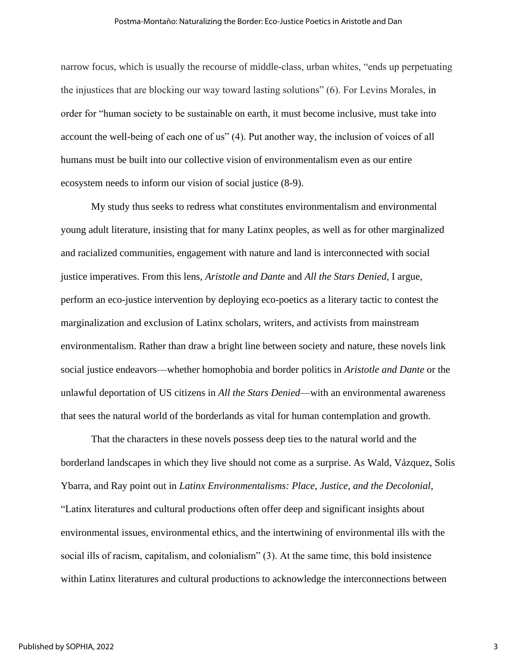narrow focus, which is usually the recourse of middle-class, urban whites, "ends up perpetuating the injustices that are blocking our way toward lasting solutions" (6). For Levins Morales, in order for "human society to be sustainable on earth, it must become inclusive, must take into account the well-being of each one of us" (4). Put another way, the inclusion of voices of all humans must be built into our collective vision of environmentalism even as our entire ecosystem needs to inform our vision of social justice (8-9).

My study thus seeks to redress what constitutes environmentalism and environmental young adult literature, insisting that for many Latinx peoples, as well as for other marginalized and racialized communities, engagement with nature and land is interconnected with social justice imperatives. From this lens, *Aristotle and Dante* and *All the Stars Denied*, I argue, perform an eco-justice intervention by deploying eco-poetics as a literary tactic to contest the marginalization and exclusion of Latinx scholars, writers, and activists from mainstream environmentalism. Rather than draw a bright line between society and nature, these novels link social justice endeavors—whether homophobia and border politics in *Aristotle and Dante* or the unlawful deportation of US citizens in *All the Stars Denied*—with an environmental awareness that sees the natural world of the borderlands as vital for human contemplation and growth.

That the characters in these novels possess deep ties to the natural world and the borderland landscapes in which they live should not come as a surprise. As Wald, Vázquez, Solis Ybarra, and Ray point out in *Latinx Environmentalisms: Place, Justice, and the Decolonial*, "Latinx literatures and cultural productions often offer deep and significant insights about environmental issues, environmental ethics, and the intertwining of environmental ills with the social ills of racism, capitalism, and colonialism" (3). At the same time, this bold insistence within Latinx literatures and cultural productions to acknowledge the interconnections between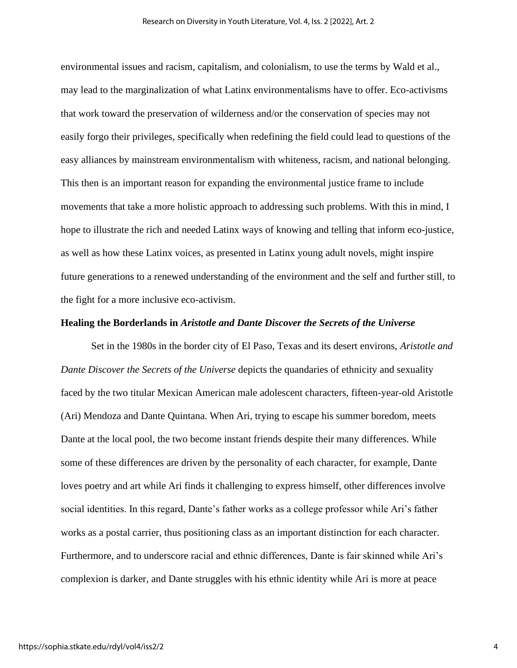environmental issues and racism, capitalism, and colonialism, to use the terms by Wald et al., may lead to the marginalization of what Latinx environmentalisms have to offer. Eco-activisms that work toward the preservation of wilderness and/or the conservation of species may not easily forgo their privileges, specifically when redefining the field could lead to questions of the easy alliances by mainstream environmentalism with whiteness, racism, and national belonging. This then is an important reason for expanding the environmental justice frame to include movements that take a more holistic approach to addressing such problems. With this in mind, I hope to illustrate the rich and needed Latinx ways of knowing and telling that inform eco-justice, as well as how these Latinx voices, as presented in Latinx young adult novels, might inspire future generations to a renewed understanding of the environment and the self and further still, to the fight for a more inclusive eco-activism.

#### **Healing the Borderlands in** *Aristotle and Dante Discover the Secrets of the Universe*

Set in the 1980s in the border city of El Paso, Texas and its desert environs, *Aristotle and Dante Discover the Secrets of the Universe* depicts the quandaries of ethnicity and sexuality faced by the two titular Mexican American male adolescent characters, fifteen-year-old Aristotle (Ari) Mendoza and Dante Quintana. When Ari, trying to escape his summer boredom, meets Dante at the local pool, the two become instant friends despite their many differences. While some of these differences are driven by the personality of each character, for example, Dante loves poetry and art while Ari finds it challenging to express himself, other differences involve social identities. In this regard, Dante's father works as a college professor while Ari's father works as a postal carrier, thus positioning class as an important distinction for each character. Furthermore, and to underscore racial and ethnic differences, Dante is fair skinned while Ari's complexion is darker, and Dante struggles with his ethnic identity while Ari is more at peace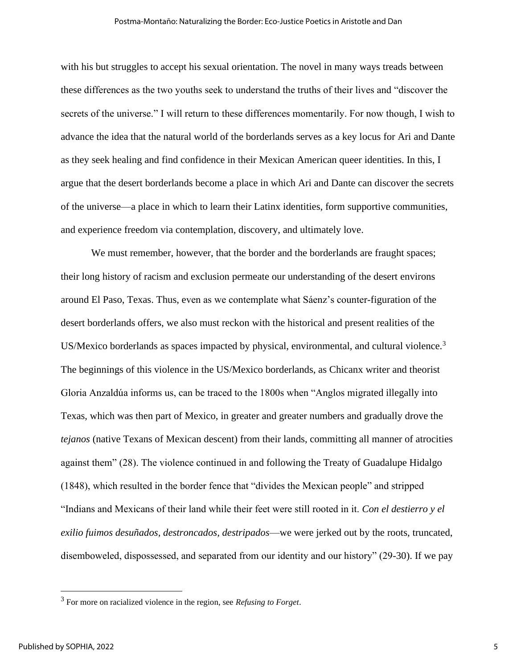with his but struggles to accept his sexual orientation. The novel in many ways treads between these differences as the two youths seek to understand the truths of their lives and "discover the secrets of the universe." I will return to these differences momentarily. For now though, I wish to advance the idea that the natural world of the borderlands serves as a key locus for Ari and Dante as they seek healing and find confidence in their Mexican American queer identities. In this, I argue that the desert borderlands become a place in which Ari and Dante can discover the secrets of the universe—a place in which to learn their Latinx identities, form supportive communities, and experience freedom via contemplation, discovery, and ultimately love.

We must remember, however, that the border and the borderlands are fraught spaces; their long history of racism and exclusion permeate our understanding of the desert environs around El Paso, Texas. Thus, even as we contemplate what Sáenz's counter-figuration of the desert borderlands offers, we also must reckon with the historical and present realities of the US/Mexico borderlands as spaces impacted by physical, environmental, and cultural violence.<sup>3</sup> The beginnings of this violence in the US/Mexico borderlands, as Chicanx writer and theorist Gloria Anzaldúa informs us, can be traced to the 1800s when "Anglos migrated illegally into Texas, which was then part of Mexico, in greater and greater numbers and gradually drove the *tejanos* (native Texans of Mexican descent) from their lands, committing all manner of atrocities against them" (28). The violence continued in and following the Treaty of Guadalupe Hidalgo (1848), which resulted in the border fence that "divides the Mexican people" and stripped "Indians and Mexicans of their land while their feet were still rooted in it. *Con el destierro y el exilio fuimos desuñados, destroncados, destripados*—we were jerked out by the roots, truncated, disemboweled, dispossessed, and separated from our identity and our history" (29-30). If we pay

<sup>3</sup> For more on racialized violence in the region, see *Refusing to Forget*.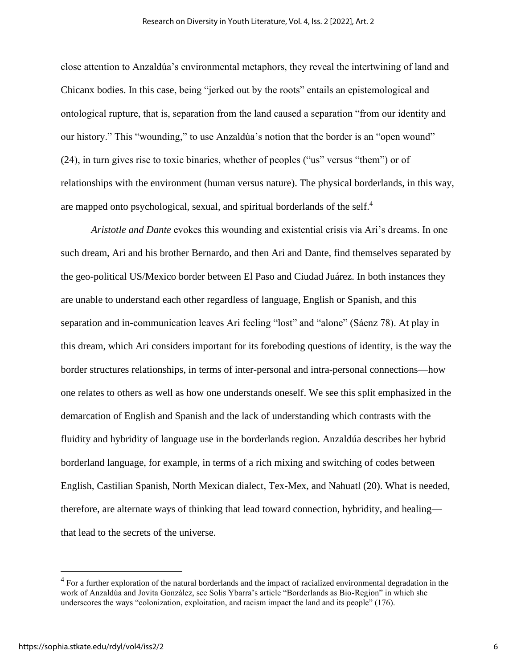close attention to Anzaldúa's environmental metaphors, they reveal the intertwining of land and Chicanx bodies. In this case, being "jerked out by the roots" entails an epistemological and ontological rupture, that is, separation from the land caused a separation "from our identity and our history." This "wounding," to use Anzaldúa's notion that the border is an "open wound" (24), in turn gives rise to toxic binaries, whether of peoples ("us" versus "them") or of relationships with the environment (human versus nature). The physical borderlands, in this way, are mapped onto psychological, sexual, and spiritual borderlands of the self.<sup>4</sup>

*Aristotle and Dante* evokes this wounding and existential crisis via Ari's dreams. In one such dream, Ari and his brother Bernardo, and then Ari and Dante, find themselves separated by the geo-political US/Mexico border between El Paso and Ciudad Juárez. In both instances they are unable to understand each other regardless of language, English or Spanish, and this separation and in-communication leaves Ari feeling "lost" and "alone" (Sáenz 78). At play in this dream, which Ari considers important for its foreboding questions of identity, is the way the border structures relationships, in terms of inter-personal and intra-personal connections—how one relates to others as well as how one understands oneself. We see this split emphasized in the demarcation of English and Spanish and the lack of understanding which contrasts with the fluidity and hybridity of language use in the borderlands region. Anzaldúa describes her hybrid borderland language, for example, in terms of a rich mixing and switching of codes between English, Castilian Spanish, North Mexican dialect, Tex-Mex, and Nahuatl (20). What is needed, therefore, are alternate ways of thinking that lead toward connection, hybridity, and healing that lead to the secrets of the universe.

 $4$  For a further exploration of the natural borderlands and the impact of racialized environmental degradation in the work of Anzaldúa and Jovita González, see Solis Ybarra's article "Borderlands as Bio-Region" in which she underscores the ways "colonization, exploitation, and racism impact the land and its people" (176).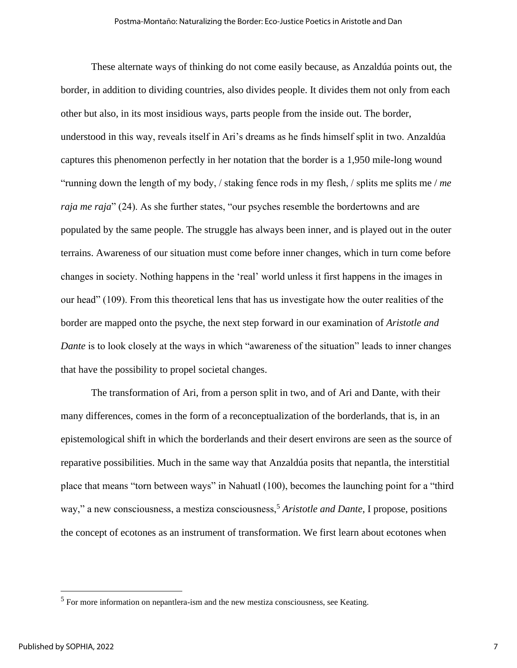These alternate ways of thinking do not come easily because, as Anzaldúa points out, the border, in addition to dividing countries, also divides people. It divides them not only from each other but also, in its most insidious ways, parts people from the inside out. The border, understood in this way, reveals itself in Ari's dreams as he finds himself split in two. Anzaldúa captures this phenomenon perfectly in her notation that the border is a 1,950 mile-long wound "running down the length of my body, / staking fence rods in my flesh, / splits me splits me / *me raja me raja*" (24). As she further states, "our psyches resemble the bordertowns and are populated by the same people. The struggle has always been inner, and is played out in the outer terrains. Awareness of our situation must come before inner changes, which in turn come before changes in society. Nothing happens in the 'real' world unless it first happens in the images in our head" (109). From this theoretical lens that has us investigate how the outer realities of the border are mapped onto the psyche, the next step forward in our examination of *Aristotle and Dante* is to look closely at the ways in which "awareness of the situation" leads to inner changes that have the possibility to propel societal changes.

The transformation of Ari, from a person split in two, and of Ari and Dante, with their many differences, comes in the form of a reconceptualization of the borderlands, that is, in an epistemological shift in which the borderlands and their desert environs are seen as the source of reparative possibilities. Much in the same way that Anzaldúa posits that nepantla, the interstitial place that means "torn between ways" in Nahuatl (100), becomes the launching point for a "third way," a new consciousness, a mestiza consciousness,<sup>5</sup> *Aristotle and Dante*, I propose, positions the concept of ecotones as an instrument of transformation. We first learn about ecotones when

<sup>&</sup>lt;sup>5</sup> For more information on nepantlera-ism and the new mestiza consciousness, see Keating.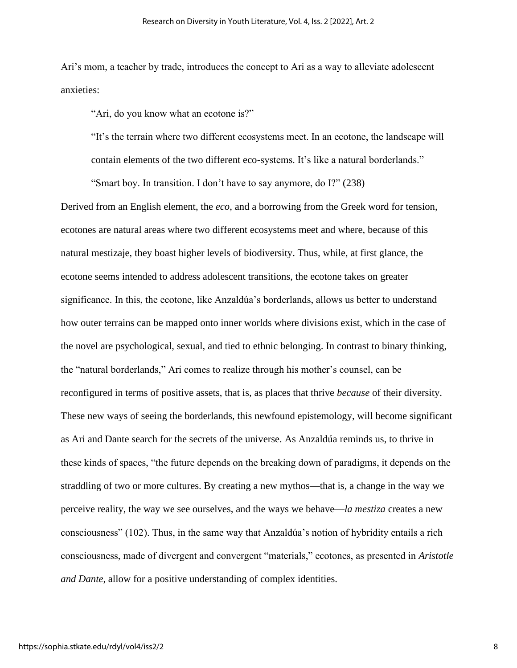Ari's mom, a teacher by trade, introduces the concept to Ari as a way to alleviate adolescent anxieties:

"Ari, do you know what an ecotone is?"

"It's the terrain where two different ecosystems meet. In an ecotone, the landscape will contain elements of the two different eco-systems. It's like a natural borderlands."

"Smart boy. In transition. I don't have to say anymore, do I?" (238)

Derived from an English element, the *eco*, and a borrowing from the Greek word for tension, ecotones are natural areas where two different ecosystems meet and where, because of this natural mestizaje, they boast higher levels of biodiversity. Thus, while, at first glance, the ecotone seems intended to address adolescent transitions, the ecotone takes on greater significance. In this, the ecotone, like Anzaldúa's borderlands, allows us better to understand how outer terrains can be mapped onto inner worlds where divisions exist, which in the case of the novel are psychological, sexual, and tied to ethnic belonging. In contrast to binary thinking, the "natural borderlands," Ari comes to realize through his mother's counsel, can be reconfigured in terms of positive assets, that is, as places that thrive *because* of their diversity. These new ways of seeing the borderlands, this newfound epistemology, will become significant as Ari and Dante search for the secrets of the universe. As Anzaldúa reminds us, to thrive in these kinds of spaces, "the future depends on the breaking down of paradigms, it depends on the straddling of two or more cultures. By creating a new mythos—that is, a change in the way we perceive reality, the way we see ourselves, and the ways we behave—*la mestiza* creates a new consciousness" (102). Thus, in the same way that Anzaldúa's notion of hybridity entails a rich consciousness, made of divergent and convergent "materials," ecotones, as presented in *Aristotle and Dante*, allow for a positive understanding of complex identities.

8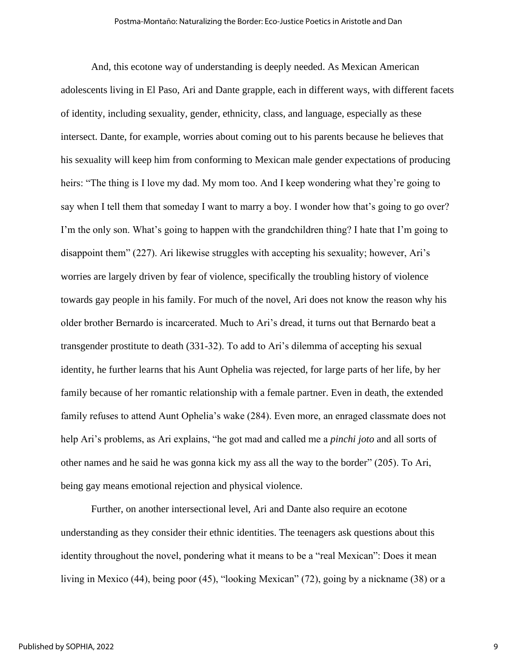And, this ecotone way of understanding is deeply needed. As Mexican American adolescents living in El Paso, Ari and Dante grapple, each in different ways, with different facets of identity, including sexuality, gender, ethnicity, class, and language, especially as these intersect. Dante, for example, worries about coming out to his parents because he believes that his sexuality will keep him from conforming to Mexican male gender expectations of producing heirs: "The thing is I love my dad. My mom too. And I keep wondering what they're going to say when I tell them that someday I want to marry a boy. I wonder how that's going to go over? I'm the only son. What's going to happen with the grandchildren thing? I hate that I'm going to disappoint them" (227). Ari likewise struggles with accepting his sexuality; however, Ari's worries are largely driven by fear of violence, specifically the troubling history of violence towards gay people in his family. For much of the novel, Ari does not know the reason why his older brother Bernardo is incarcerated. Much to Ari's dread, it turns out that Bernardo beat a transgender prostitute to death (331-32). To add to Ari's dilemma of accepting his sexual identity, he further learns that his Aunt Ophelia was rejected, for large parts of her life, by her family because of her romantic relationship with a female partner. Even in death, the extended family refuses to attend Aunt Ophelia's wake (284). Even more, an enraged classmate does not help Ari's problems, as Ari explains, "he got mad and called me a *pinchi joto* and all sorts of other names and he said he was gonna kick my ass all the way to the border" (205). To Ari, being gay means emotional rejection and physical violence.

Further, on another intersectional level, Ari and Dante also require an ecotone understanding as they consider their ethnic identities. The teenagers ask questions about this identity throughout the novel, pondering what it means to be a "real Mexican": Does it mean living in Mexico (44), being poor (45), "looking Mexican" (72), going by a nickname (38) or a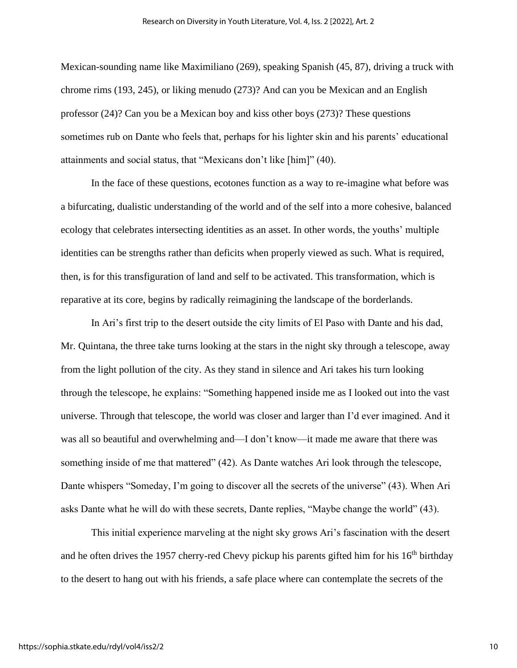Mexican-sounding name like Maximiliano (269), speaking Spanish (45, 87), driving a truck with chrome rims (193, 245), or liking menudo (273)? And can you be Mexican and an English professor (24)? Can you be a Mexican boy and kiss other boys (273)? These questions sometimes rub on Dante who feels that, perhaps for his lighter skin and his parents' educational attainments and social status, that "Mexicans don't like [him]" (40).

In the face of these questions, ecotones function as a way to re-imagine what before was a bifurcating, dualistic understanding of the world and of the self into a more cohesive, balanced ecology that celebrates intersecting identities as an asset. In other words, the youths' multiple identities can be strengths rather than deficits when properly viewed as such. What is required, then, is for this transfiguration of land and self to be activated. This transformation, which is reparative at its core, begins by radically reimagining the landscape of the borderlands.

In Ari's first trip to the desert outside the city limits of El Paso with Dante and his dad, Mr. Quintana, the three take turns looking at the stars in the night sky through a telescope, away from the light pollution of the city. As they stand in silence and Ari takes his turn looking through the telescope, he explains: "Something happened inside me as I looked out into the vast universe. Through that telescope, the world was closer and larger than I'd ever imagined. And it was all so beautiful and overwhelming and—I don't know—it made me aware that there was something inside of me that mattered" (42). As Dante watches Ari look through the telescope, Dante whispers "Someday, I'm going to discover all the secrets of the universe" (43). When Ari asks Dante what he will do with these secrets, Dante replies, "Maybe change the world" (43).

This initial experience marveling at the night sky grows Ari's fascination with the desert and he often drives the 1957 cherry-red Chevy pickup his parents gifted him for his  $16<sup>th</sup>$  birthday to the desert to hang out with his friends, a safe place where can contemplate the secrets of the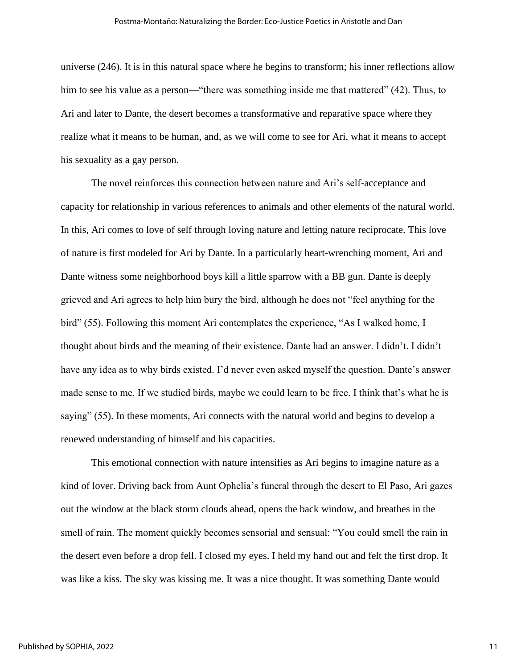universe (246). It is in this natural space where he begins to transform; his inner reflections allow him to see his value as a person—"there was something inside me that mattered" (42). Thus, to Ari and later to Dante, the desert becomes a transformative and reparative space where they realize what it means to be human, and, as we will come to see for Ari, what it means to accept his sexuality as a gay person.

The novel reinforces this connection between nature and Ari's self-acceptance and capacity for relationship in various references to animals and other elements of the natural world. In this, Ari comes to love of self through loving nature and letting nature reciprocate. This love of nature is first modeled for Ari by Dante. In a particularly heart-wrenching moment, Ari and Dante witness some neighborhood boys kill a little sparrow with a BB gun. Dante is deeply grieved and Ari agrees to help him bury the bird, although he does not "feel anything for the bird" (55). Following this moment Ari contemplates the experience, "As I walked home, I thought about birds and the meaning of their existence. Dante had an answer. I didn't. I didn't have any idea as to why birds existed. I'd never even asked myself the question. Dante's answer made sense to me. If we studied birds, maybe we could learn to be free. I think that's what he is saying" (55). In these moments, Ari connects with the natural world and begins to develop a renewed understanding of himself and his capacities.

This emotional connection with nature intensifies as Ari begins to imagine nature as a kind of lover. Driving back from Aunt Ophelia's funeral through the desert to El Paso, Ari gazes out the window at the black storm clouds ahead, opens the back window, and breathes in the smell of rain. The moment quickly becomes sensorial and sensual: "You could smell the rain in the desert even before a drop fell. I closed my eyes. I held my hand out and felt the first drop. It was like a kiss. The sky was kissing me. It was a nice thought. It was something Dante would

11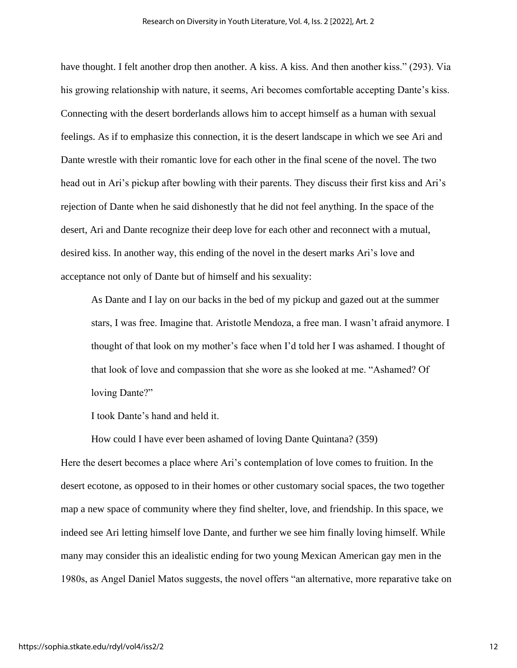have thought. I felt another drop then another. A kiss. A kiss. And then another kiss." (293). Via his growing relationship with nature, it seems, Ari becomes comfortable accepting Dante's kiss. Connecting with the desert borderlands allows him to accept himself as a human with sexual feelings. As if to emphasize this connection, it is the desert landscape in which we see Ari and Dante wrestle with their romantic love for each other in the final scene of the novel. The two head out in Ari's pickup after bowling with their parents. They discuss their first kiss and Ari's rejection of Dante when he said dishonestly that he did not feel anything. In the space of the desert, Ari and Dante recognize their deep love for each other and reconnect with a mutual, desired kiss. In another way, this ending of the novel in the desert marks Ari's love and acceptance not only of Dante but of himself and his sexuality:

As Dante and I lay on our backs in the bed of my pickup and gazed out at the summer stars, I was free. Imagine that. Aristotle Mendoza, a free man. I wasn't afraid anymore. I thought of that look on my mother's face when I'd told her I was ashamed. I thought of that look of love and compassion that she wore as she looked at me. "Ashamed? Of loving Dante?"

I took Dante's hand and held it.

How could I have ever been ashamed of loving Dante Quintana? (359)

Here the desert becomes a place where Ari's contemplation of love comes to fruition. In the desert ecotone, as opposed to in their homes or other customary social spaces, the two together map a new space of community where they find shelter, love, and friendship. In this space, we indeed see Ari letting himself love Dante, and further we see him finally loving himself. While many may consider this an idealistic ending for two young Mexican American gay men in the 1980s, as Angel Daniel Matos suggests, the novel offers "an alternative, more reparative take on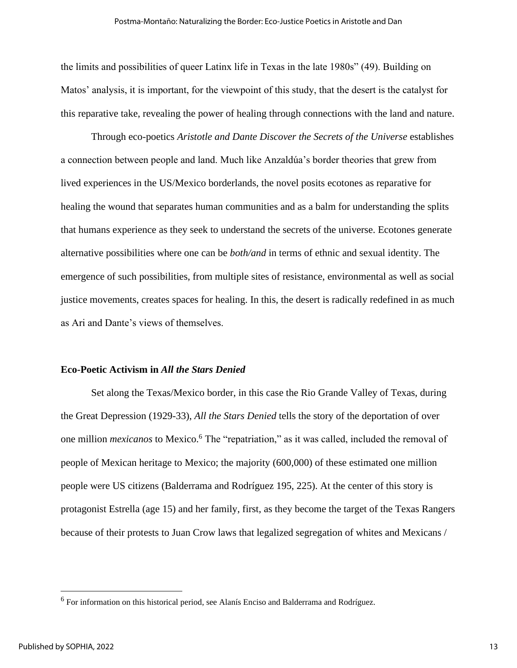the limits and possibilities of queer Latinx life in Texas in the late 1980s" (49). Building on Matos' analysis, it is important, for the viewpoint of this study, that the desert is the catalyst for this reparative take, revealing the power of healing through connections with the land and nature.

Through eco-poetics *Aristotle and Dante Discover the Secrets of the Universe* establishes a connection between people and land. Much like Anzaldúa's border theories that grew from lived experiences in the US/Mexico borderlands, the novel posits ecotones as reparative for healing the wound that separates human communities and as a balm for understanding the splits that humans experience as they seek to understand the secrets of the universe. Ecotones generate alternative possibilities where one can be *both/and* in terms of ethnic and sexual identity. The emergence of such possibilities, from multiple sites of resistance, environmental as well as social justice movements, creates spaces for healing. In this, the desert is radically redefined in as much as Ari and Dante's views of themselves.

#### **Eco-Poetic Activism in** *All the Stars Denied*

Set along the Texas/Mexico border, in this case the Rio Grande Valley of Texas, during the Great Depression (1929-33), *All the Stars Denied* tells the story of the deportation of over one million *mexicanos* to Mexico.<sup>6</sup> The "repatriation," as it was called, included the removal of people of Mexican heritage to Mexico; the majority (600,000) of these estimated one million people were US citizens (Balderrama and Rodríguez 195, 225). At the center of this story is protagonist Estrella (age 15) and her family, first, as they become the target of the Texas Rangers because of their protests to Juan Crow laws that legalized segregation of whites and Mexicans /

<sup>&</sup>lt;sup>6</sup> For information on this historical period, see Alanís Enciso and Balderrama and Rodríguez.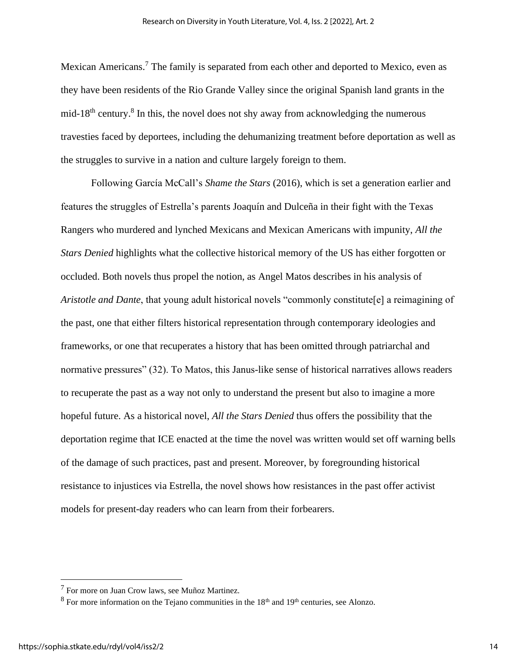Mexican Americans.<sup>7</sup> The family is separated from each other and deported to Mexico, even as they have been residents of the Rio Grande Valley since the original Spanish land grants in the mid-18<sup>th</sup> century.<sup>8</sup> In this, the novel does not shy away from acknowledging the numerous travesties faced by deportees, including the dehumanizing treatment before deportation as well as the struggles to survive in a nation and culture largely foreign to them.

Following García McCall's *Shame the Stars* (2016), which is set a generation earlier and features the struggles of Estrella's parents Joaquín and Dulceña in their fight with the Texas Rangers who murdered and lynched Mexicans and Mexican Americans with impunity, *All the Stars Denied* highlights what the collective historical memory of the US has either forgotten or occluded. Both novels thus propel the notion, as Angel Matos describes in his analysis of *Aristotle and Dante*, that young adult historical novels "commonly constitute[e] a reimagining of the past, one that either filters historical representation through contemporary ideologies and frameworks, or one that recuperates a history that has been omitted through patriarchal and normative pressures" (32). To Matos, this Janus-like sense of historical narratives allows readers to recuperate the past as a way not only to understand the present but also to imagine a more hopeful future. As a historical novel, *All the Stars Denied* thus offers the possibility that the deportation regime that ICE enacted at the time the novel was written would set off warning bells of the damage of such practices, past and present. Moreover, by foregrounding historical resistance to injustices via Estrella, the novel shows how resistances in the past offer activist models for present-day readers who can learn from their forbearers.

<sup>7</sup> For more on Juan Crow laws, see Muñoz Martinez.

 $8$  For more information on the Tejano communities in the  $18<sup>th</sup>$  and  $19<sup>th</sup>$  centuries, see Alonzo.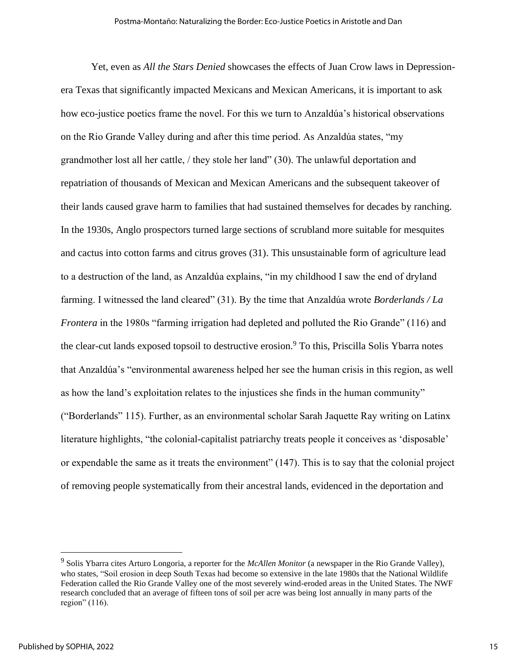Yet, even as *All the Stars Denied* showcases the effects of Juan Crow laws in Depressionera Texas that significantly impacted Mexicans and Mexican Americans, it is important to ask how eco-justice poetics frame the novel. For this we turn to Anzaldúa's historical observations on the Rio Grande Valley during and after this time period. As Anzaldúa states, "my grandmother lost all her cattle, / they stole her land" (30). The unlawful deportation and repatriation of thousands of Mexican and Mexican Americans and the subsequent takeover of their lands caused grave harm to families that had sustained themselves for decades by ranching. In the 1930s, Anglo prospectors turned large sections of scrubland more suitable for mesquites and cactus into cotton farms and citrus groves (31). This unsustainable form of agriculture lead to a destruction of the land, as Anzaldúa explains, "in my childhood I saw the end of dryland farming. I witnessed the land cleared" (31). By the time that Anzaldúa wrote *Borderlands / La Frontera* in the 1980s "farming irrigation had depleted and polluted the Rio Grande" (116) and the clear-cut lands exposed topsoil to destructive erosion.<sup>9</sup> To this, Priscilla Solis Ybarra notes that Anzaldúa's "environmental awareness helped her see the human crisis in this region, as well as how the land's exploitation relates to the injustices she finds in the human community" ("Borderlands" 115). Further, as an environmental scholar Sarah Jaquette Ray writing on Latinx literature highlights, "the colonial-capitalist patriarchy treats people it conceives as 'disposable' or expendable the same as it treats the environment" (147). This is to say that the colonial project of removing people systematically from their ancestral lands, evidenced in the deportation and

<sup>9</sup> Solis Ybarra cites Arturo Longoria, a reporter for the *McAllen Monitor* (a newspaper in the Rio Grande Valley), who states, "Soil erosion in deep South Texas had become so extensive in the late 1980s that the National Wildlife Federation called the Rio Grande Valley one of the most severely wind-eroded areas in the United States. The NWF research concluded that an average of fifteen tons of soil per acre was being lost annually in many parts of the region" (116).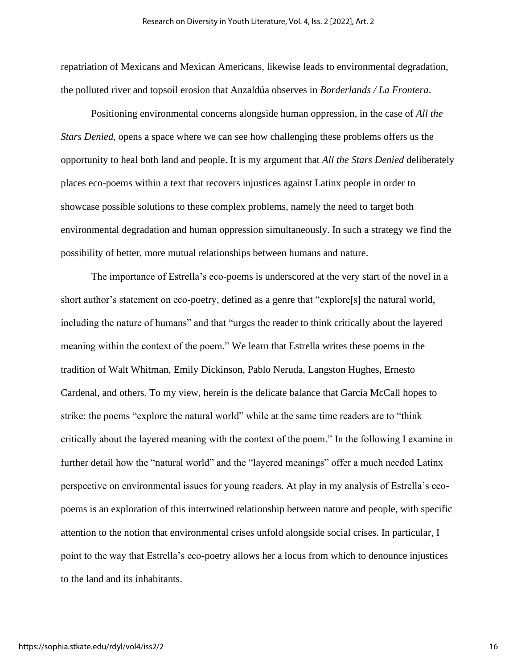repatriation of Mexicans and Mexican Americans, likewise leads to environmental degradation, the polluted river and topsoil erosion that Anzaldúa observes in *Borderlands / La Frontera*.

Positioning environmental concerns alongside human oppression, in the case of *All the Stars Denied*, opens a space where we can see how challenging these problems offers us the opportunity to heal both land and people. It is my argument that *All the Stars Denied* deliberately places eco-poems within a text that recovers injustices against Latinx people in order to showcase possible solutions to these complex problems, namely the need to target both environmental degradation and human oppression simultaneously. In such a strategy we find the possibility of better, more mutual relationships between humans and nature.

The importance of Estrella's eco-poems is underscored at the very start of the novel in a short author's statement on eco-poetry, defined as a genre that "explore[s] the natural world, including the nature of humans" and that "urges the reader to think critically about the layered meaning within the context of the poem." We learn that Estrella writes these poems in the tradition of Walt Whitman, Emily Dickinson, Pablo Neruda, Langston Hughes, Ernesto Cardenal, and others. To my view, herein is the delicate balance that García McCall hopes to strike: the poems "explore the natural world" while at the same time readers are to "think critically about the layered meaning with the context of the poem." In the following I examine in further detail how the "natural world" and the "layered meanings" offer a much needed Latinx perspective on environmental issues for young readers. At play in my analysis of Estrella's ecopoems is an exploration of this intertwined relationship between nature and people, with specific attention to the notion that environmental crises unfold alongside social crises. In particular, I point to the way that Estrella's eco-poetry allows her a locus from which to denounce injustices to the land and its inhabitants.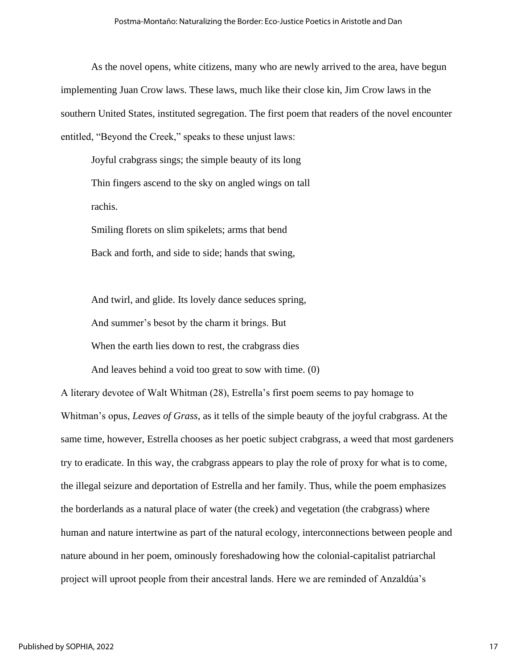As the novel opens, white citizens, many who are newly arrived to the area, have begun implementing Juan Crow laws. These laws, much like their close kin, Jim Crow laws in the southern United States, instituted segregation. The first poem that readers of the novel encounter entitled, "Beyond the Creek," speaks to these unjust laws:

Joyful crabgrass sings; the simple beauty of its long Thin fingers ascend to the sky on angled wings on tall rachis.

Smiling florets on slim spikelets; arms that bend Back and forth, and side to side; hands that swing,

And twirl, and glide. Its lovely dance seduces spring, And summer's besot by the charm it brings. But When the earth lies down to rest, the crabgrass dies

And leaves behind a void too great to sow with time. (0)

A literary devotee of Walt Whitman (28), Estrella's first poem seems to pay homage to Whitman's opus, *Leaves of Grass*, as it tells of the simple beauty of the joyful crabgrass. At the same time, however, Estrella chooses as her poetic subject crabgrass, a weed that most gardeners try to eradicate. In this way, the crabgrass appears to play the role of proxy for what is to come, the illegal seizure and deportation of Estrella and her family. Thus, while the poem emphasizes the borderlands as a natural place of water (the creek) and vegetation (the crabgrass) where human and nature intertwine as part of the natural ecology, interconnections between people and nature abound in her poem, ominously foreshadowing how the colonial-capitalist patriarchal project will uproot people from their ancestral lands. Here we are reminded of Anzaldúa's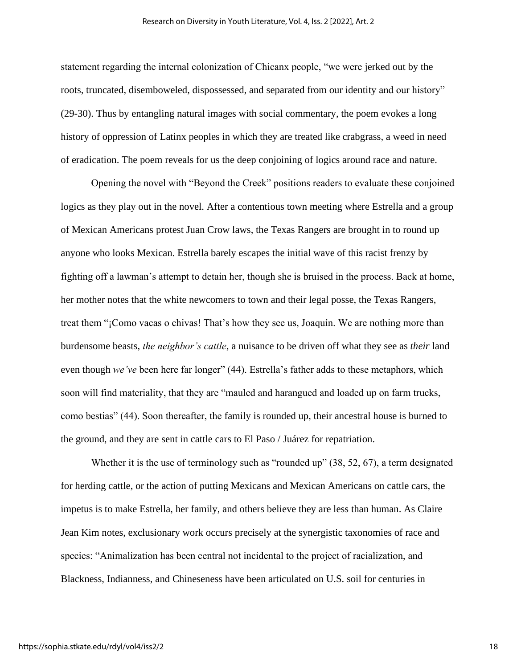statement regarding the internal colonization of Chicanx people, "we were jerked out by the roots, truncated, disemboweled, dispossessed, and separated from our identity and our history" (29-30). Thus by entangling natural images with social commentary, the poem evokes a long history of oppression of Latinx peoples in which they are treated like crabgrass, a weed in need of eradication. The poem reveals for us the deep conjoining of logics around race and nature.

Opening the novel with "Beyond the Creek" positions readers to evaluate these conjoined logics as they play out in the novel. After a contentious town meeting where Estrella and a group of Mexican Americans protest Juan Crow laws, the Texas Rangers are brought in to round up anyone who looks Mexican. Estrella barely escapes the initial wave of this racist frenzy by fighting off a lawman's attempt to detain her, though she is bruised in the process. Back at home, her mother notes that the white newcomers to town and their legal posse, the Texas Rangers, treat them "¡Como vacas o chivas! That's how they see us, Joaquín. We are nothing more than burdensome beasts, *the neighbor's cattle*, a nuisance to be driven off what they see as *their* land even though *we've* been here far longer" (44). Estrella's father adds to these metaphors, which soon will find materiality, that they are "mauled and harangued and loaded up on farm trucks, como bestias" (44). Soon thereafter, the family is rounded up, their ancestral house is burned to the ground, and they are sent in cattle cars to El Paso / Juárez for repatriation.

Whether it is the use of terminology such as "rounded up" (38, 52, 67), a term designated for herding cattle, or the action of putting Mexicans and Mexican Americans on cattle cars, the impetus is to make Estrella, her family, and others believe they are less than human. As Claire Jean Kim notes, exclusionary work occurs precisely at the synergistic taxonomies of race and species: "Animalization has been central not incidental to the project of racialization, and Blackness, Indianness, and Chineseness have been articulated on U.S. soil for centuries in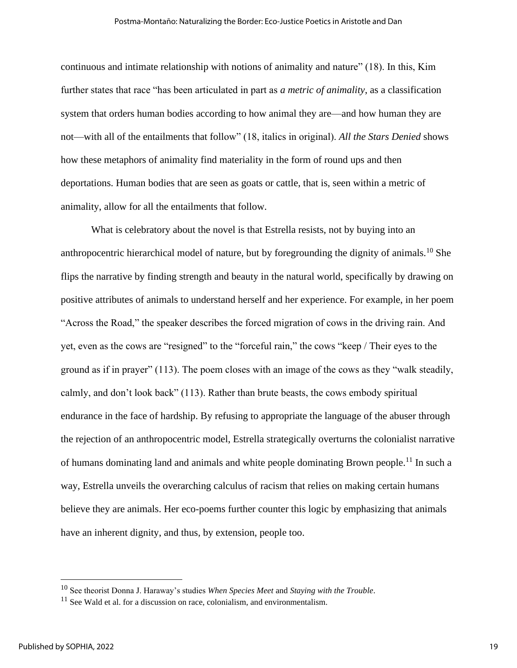continuous and intimate relationship with notions of animality and nature" (18). In this, Kim further states that race "has been articulated in part as *a metric of animality*, as a classification system that orders human bodies according to how animal they are—and how human they are not—with all of the entailments that follow" (18, italics in original). *All the Stars Denied* shows how these metaphors of animality find materiality in the form of round ups and then deportations. Human bodies that are seen as goats or cattle, that is, seen within a metric of animality, allow for all the entailments that follow.

What is celebratory about the novel is that Estrella resists, not by buying into an anthropocentric hierarchical model of nature, but by foregrounding the dignity of animals.<sup>10</sup> She flips the narrative by finding strength and beauty in the natural world, specifically by drawing on positive attributes of animals to understand herself and her experience. For example, in her poem "Across the Road," the speaker describes the forced migration of cows in the driving rain. And yet, even as the cows are "resigned" to the "forceful rain," the cows "keep / Their eyes to the ground as if in prayer" (113). The poem closes with an image of the cows as they "walk steadily, calmly, and don't look back" (113). Rather than brute beasts, the cows embody spiritual endurance in the face of hardship. By refusing to appropriate the language of the abuser through the rejection of an anthropocentric model, Estrella strategically overturns the colonialist narrative of humans dominating land and animals and white people dominating Brown people.<sup>11</sup> In such a way, Estrella unveils the overarching calculus of racism that relies on making certain humans believe they are animals. Her eco-poems further counter this logic by emphasizing that animals have an inherent dignity, and thus, by extension, people too.

<sup>10</sup> See theorist Donna J. Haraway's studies *When Species Meet* and *Staying with the Trouble*.

 $11$  See Wald et al. for a discussion on race, colonialism, and environmentalism.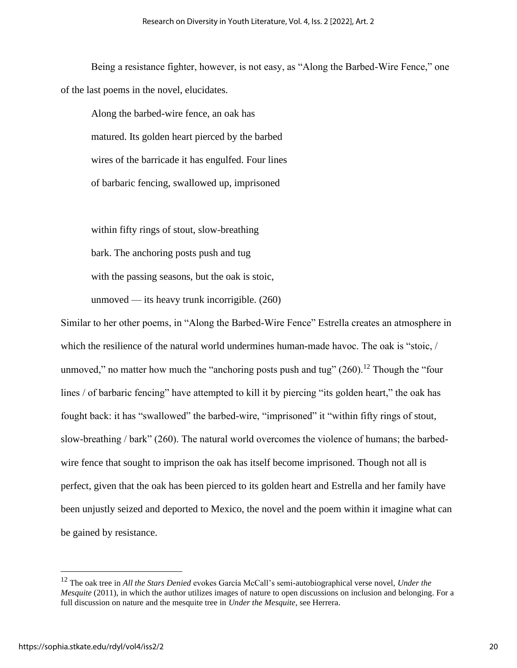Being a resistance fighter, however, is not easy, as "Along the Barbed-Wire Fence," one of the last poems in the novel, elucidates.

Along the barbed-wire fence, an oak has matured. Its golden heart pierced by the barbed wires of the barricade it has engulfed. Four lines of barbaric fencing, swallowed up, imprisoned

within fifty rings of stout, slow-breathing bark. The anchoring posts push and tug with the passing seasons, but the oak is stoic, unmoved — its heavy trunk incorrigible.  $(260)$ 

Similar to her other poems, in "Along the Barbed-Wire Fence" Estrella creates an atmosphere in which the resilience of the natural world undermines human-made havoc. The oak is "stoic, / unmoved," no matter how much the "anchoring posts push and tug"  $(260)$ .<sup>12</sup> Though the "four lines / of barbaric fencing" have attempted to kill it by piercing "its golden heart," the oak has fought back: it has "swallowed" the barbed-wire, "imprisoned" it "within fifty rings of stout, slow-breathing / bark" (260). The natural world overcomes the violence of humans; the barbedwire fence that sought to imprison the oak has itself become imprisoned. Though not all is perfect, given that the oak has been pierced to its golden heart and Estrella and her family have been unjustly seized and deported to Mexico, the novel and the poem within it imagine what can be gained by resistance.

<sup>12</sup> The oak tree in *All the Stars Denied* evokes García McCall's semi-autobiographical verse novel, *Under the Mesquite* (2011), in which the author utilizes images of nature to open discussions on inclusion and belonging. For a full discussion on nature and the mesquite tree in *Under the Mesquite*, see Herrera.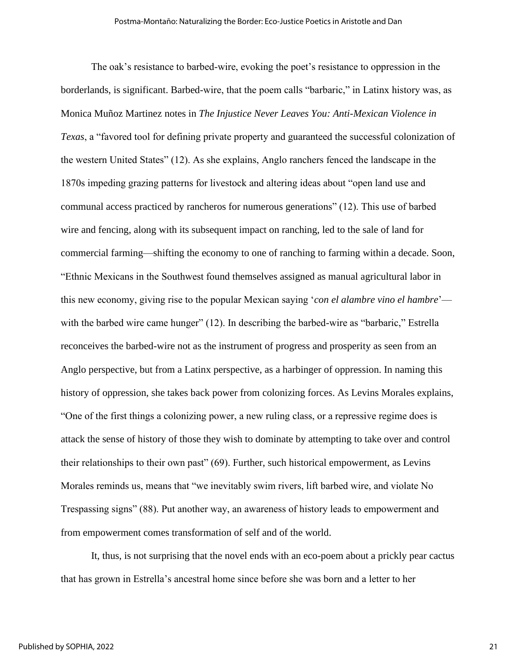The oak's resistance to barbed-wire, evoking the poet's resistance to oppression in the borderlands, is significant. Barbed-wire, that the poem calls "barbaric," in Latinx history was, as Monica Muñoz Martinez notes in *The Injustice Never Leaves You: Anti-Mexican Violence in Texas*, a "favored tool for defining private property and guaranteed the successful colonization of the western United States" (12). As she explains, Anglo ranchers fenced the landscape in the 1870s impeding grazing patterns for livestock and altering ideas about "open land use and communal access practiced by rancheros for numerous generations" (12). This use of barbed wire and fencing, along with its subsequent impact on ranching, led to the sale of land for commercial farming—shifting the economy to one of ranching to farming within a decade. Soon, "Ethnic Mexicans in the Southwest found themselves assigned as manual agricultural labor in this new economy, giving rise to the popular Mexican saying '*con el alambre vino el hambre*' with the barbed wire came hunger" (12). In describing the barbed-wire as "barbaric," Estrella reconceives the barbed-wire not as the instrument of progress and prosperity as seen from an Anglo perspective, but from a Latinx perspective, as a harbinger of oppression. In naming this history of oppression, she takes back power from colonizing forces. As Levins Morales explains, "One of the first things a colonizing power, a new ruling class, or a repressive regime does is attack the sense of history of those they wish to dominate by attempting to take over and control their relationships to their own past" (69). Further, such historical empowerment, as Levins Morales reminds us, means that "we inevitably swim rivers, lift barbed wire, and violate No Trespassing signs" (88). Put another way, an awareness of history leads to empowerment and from empowerment comes transformation of self and of the world.

It, thus, is not surprising that the novel ends with an eco-poem about a prickly pear cactus that has grown in Estrella's ancestral home since before she was born and a letter to her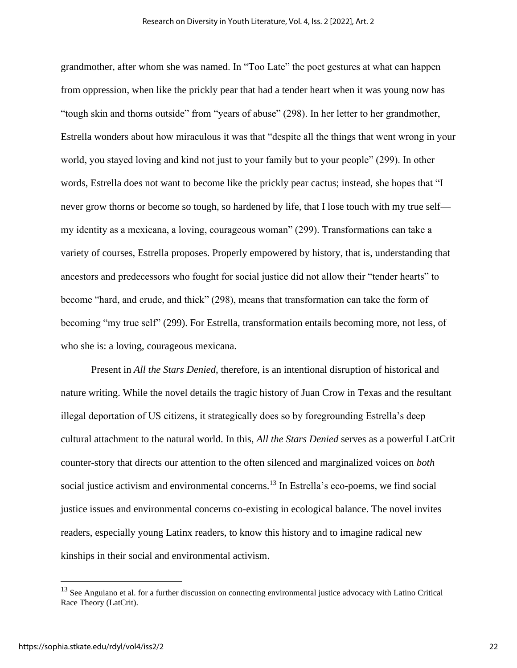grandmother, after whom she was named. In "Too Late" the poet gestures at what can happen from oppression, when like the prickly pear that had a tender heart when it was young now has "tough skin and thorns outside" from "years of abuse" (298). In her letter to her grandmother, Estrella wonders about how miraculous it was that "despite all the things that went wrong in your world, you stayed loving and kind not just to your family but to your people" (299). In other words, Estrella does not want to become like the prickly pear cactus; instead, she hopes that "I never grow thorns or become so tough, so hardened by life, that I lose touch with my true self my identity as a mexicana, a loving, courageous woman" (299). Transformations can take a variety of courses, Estrella proposes. Properly empowered by history, that is, understanding that ancestors and predecessors who fought for social justice did not allow their "tender hearts" to become "hard, and crude, and thick" (298), means that transformation can take the form of becoming "my true self" (299). For Estrella, transformation entails becoming more, not less, of who she is: a loving, courageous mexicana.

Present in *All the Stars Denied*, therefore, is an intentional disruption of historical and nature writing. While the novel details the tragic history of Juan Crow in Texas and the resultant illegal deportation of US citizens, it strategically does so by foregrounding Estrella's deep cultural attachment to the natural world. In this, *All the Stars Denied* serves as a powerful LatCrit counter-story that directs our attention to the often silenced and marginalized voices on *both* social justice activism and environmental concerns.<sup>13</sup> In Estrella's eco-poems, we find social justice issues and environmental concerns co-existing in ecological balance. The novel invites readers, especially young Latinx readers, to know this history and to imagine radical new kinships in their social and environmental activism.

<sup>&</sup>lt;sup>13</sup> See Anguiano et al. for a further discussion on connecting environmental justice advocacy with Latino Critical Race Theory (LatCrit).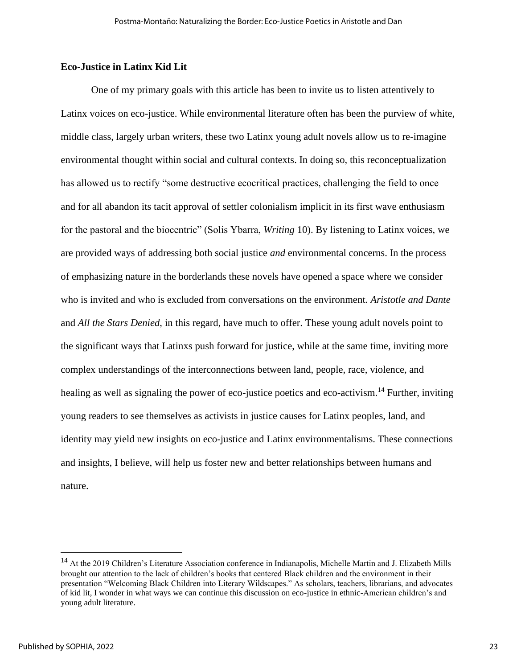### **Eco-Justice in Latinx Kid Lit**

One of my primary goals with this article has been to invite us to listen attentively to Latinx voices on eco-justice. While environmental literature often has been the purview of white, middle class, largely urban writers, these two Latinx young adult novels allow us to re-imagine environmental thought within social and cultural contexts. In doing so, this reconceptualization has allowed us to rectify "some destructive ecocritical practices, challenging the field to once and for all abandon its tacit approval of settler colonialism implicit in its first wave enthusiasm for the pastoral and the biocentric" (Solis Ybarra, *Writing* 10). By listening to Latinx voices, we are provided ways of addressing both social justice *and* environmental concerns. In the process of emphasizing nature in the borderlands these novels have opened a space where we consider who is invited and who is excluded from conversations on the environment. *Aristotle and Dante*  and *All the Stars Denied*, in this regard, have much to offer. These young adult novels point to the significant ways that Latinxs push forward for justice, while at the same time, inviting more complex understandings of the interconnections between land, people, race, violence, and healing as well as signaling the power of eco-justice poetics and eco-activism.<sup>14</sup> Further, inviting young readers to see themselves as activists in justice causes for Latinx peoples, land, and identity may yield new insights on eco-justice and Latinx environmentalisms. These connections and insights, I believe, will help us foster new and better relationships between humans and nature.

<sup>&</sup>lt;sup>14</sup> At the 2019 Children's Literature Association conference in Indianapolis, Michelle Martin and J. Elizabeth Mills brought our attention to the lack of children's books that centered Black children and the environment in their presentation "Welcoming Black Children into Literary Wildscapes." As scholars, teachers, librarians, and advocates of kid lit, I wonder in what ways we can continue this discussion on eco-justice in ethnic-American children's and young adult literature.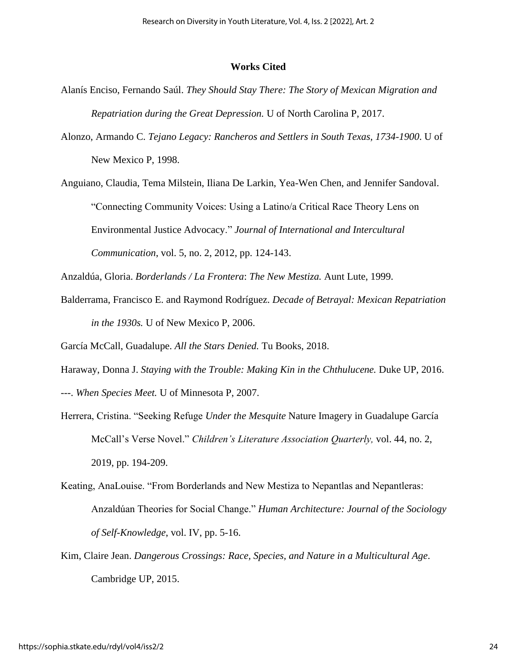#### **Works Cited**

- Alanís Enciso, Fernando Saúl. *They Should Stay There: The Story of Mexican Migration and Repatriation during the Great Depression.* U of North Carolina P, 2017.
- Alonzo, Armando C. *Tejano Legacy: Rancheros and Settlers in South Texas, 1734-1900*. U of New Mexico P, 1998.

Anguiano, Claudia, Tema Milstein, Iliana De Larkin, Yea-Wen Chen, and Jennifer Sandoval. "Connecting Community Voices: Using a Latino/a Critical Race Theory Lens on Environmental Justice Advocacy." *Journal of International and Intercultural Communication*, vol. 5, no. 2, 2012, pp. 124-143.

Anzaldúa, Gloria. *Borderlands / La Frontera*: *The New Mestiza.* Aunt Lute, 1999.

Balderrama, Francisco E. and Raymond Rodríguez. *Decade of Betrayal: Mexican Repatriation in the 1930s.* U of New Mexico P, 2006.

García McCall, Guadalupe. *All the Stars Denied.* Tu Books, 2018.

Haraway, Donna J. *Staying with the Trouble: Making Kin in the Chthulucene.* Duke UP, 2016.

---. *When Species Meet.* U of Minnesota P, 2007.

- Herrera, Cristina. "Seeking Refuge *Under the Mesquite* Nature Imagery in Guadalupe García McCall's Verse Novel." *Children's Literature Association Quarterly,* vol. 44, no. 2, 2019, pp. 194-209.
- Keating, AnaLouise. "From Borderlands and New Mestiza to Nepantlas and Nepantleras: Anzaldúan Theories for Social Change." *Human Architecture: Journal of the Sociology of Self-Knowledge*, vol. IV, pp. 5-16.
- Kim, Claire Jean. *Dangerous Crossings: Race, Species, and Nature in a Multicultural Age*. Cambridge UP, 2015.